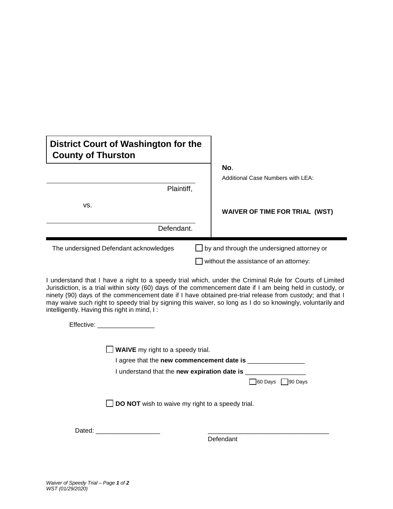| District Court of Washington for the<br><b>County of Thurston</b>                                                                                                                                                                                                                                                                                                                                                                                                                              |  |                                                                                             |  |
|------------------------------------------------------------------------------------------------------------------------------------------------------------------------------------------------------------------------------------------------------------------------------------------------------------------------------------------------------------------------------------------------------------------------------------------------------------------------------------------------|--|---------------------------------------------------------------------------------------------|--|
|                                                                                                                                                                                                                                                                                                                                                                                                                                                                                                |  | No.                                                                                         |  |
| Plaintiff,                                                                                                                                                                                                                                                                                                                                                                                                                                                                                     |  | Additional Case Numbers with LEA:                                                           |  |
| VS.                                                                                                                                                                                                                                                                                                                                                                                                                                                                                            |  | <b>WAIVER OF TIME FOR TRIAL (WST)</b>                                                       |  |
| Defendant.                                                                                                                                                                                                                                                                                                                                                                                                                                                                                     |  |                                                                                             |  |
| The undersigned Defendant acknowledges                                                                                                                                                                                                                                                                                                                                                                                                                                                         |  | $\Box$ by and through the undersigned attorney or<br>without the assistance of an attorney: |  |
| I understand that I have a right to a speedy trial which, under the Criminal Rule for Courts of Limited<br>Jurisdiction, is a trial within sixty (60) days of the commencement date if I am being held in custody, or<br>ninety (90) days of the commencement date if I have obtained pre-trial release from custody; and that I<br>may waive such right to speedy trial by signing this waiver, so long as I do so knowingly, voluntarily and<br>intelligently. Having this right in mind, I: |  |                                                                                             |  |
| Effective: ___________________                                                                                                                                                                                                                                                                                                                                                                                                                                                                 |  |                                                                                             |  |
| <b>WAIVE</b> my right to a speedy trial.                                                                                                                                                                                                                                                                                                                                                                                                                                                       |  |                                                                                             |  |
|                                                                                                                                                                                                                                                                                                                                                                                                                                                                                                |  | I agree that the new commencement date is __________________                                |  |
| I understand that the new expiration date is _____________                                                                                                                                                                                                                                                                                                                                                                                                                                     |  | 60 Days 90 Days                                                                             |  |
| <b>DO NOT</b> wish to waive my right to a speedy trial.                                                                                                                                                                                                                                                                                                                                                                                                                                        |  |                                                                                             |  |
| Dated: the contract of the contract of the contract of the contract of the contract of the contract of the contract of the contract of the contract of the contract of the contract of the contract of the contract of the con                                                                                                                                                                                                                                                                 |  | Defendant                                                                                   |  |